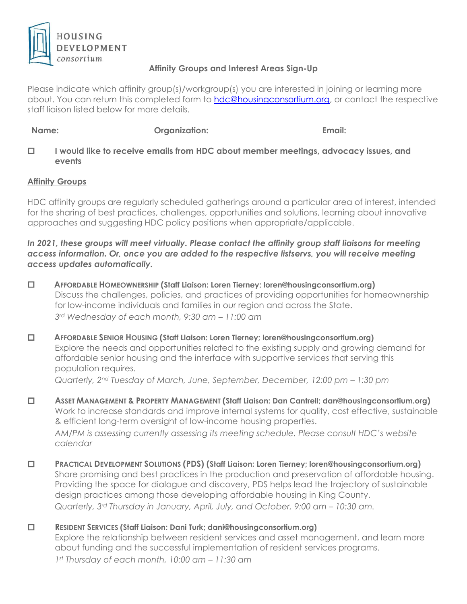

## **Affinity Groups and Interest Areas Sign-Up**

Please indicate which affinity group(s)/workgroup(s) you are interested in joining or learning more about. You can return this completed form to [hdc@housingconsortium.org,](mailto:hdc@housingconsortium.org) or contact the respective staff liaison listed below for more details.

**Name: Organization: Email:**

 **I would like to receive emails from HDC about member meetings, advocacy issues, and events** 

# **Affinity Groups**

HDC affinity groups are regularly scheduled gatherings around a particular area of interest, intended for the sharing of best practices, challenges, opportunities and solutions, learning about innovative approaches and suggesting HDC policy positions when appropriate/applicable.

*In 2021, these groups will meet virtually. Please contact the affinity group staff liaisons for meeting access information. Or, once you are added to the respective listservs, you will receive meeting access updates automatically.*

- **AFFORDABLE HOMEOWNERSHIP (Staff Liaison: Loren Tierney; loren@housingconsortium.org)** Discuss the challenges, policies, and practices of providing opportunities for homeownership for low-income individuals and families in our region and across the State. *3rd Wednesday of each month, 9:30 am – 11:00 am*
- **AFFORDABLE SENIOR HOUSING (Staff Liaison: Loren Tierney; loren@housingconsortium.org)** Explore the needs and opportunities related to the existing supply and growing demand for affordable senior housing and the interface with supportive services that serving this population requires.

*Quarterly, 2nd Tuesday of March, June, September, December, 12:00 pm – 1:30 pm*

- **ASSET MANAGEMENT & PROPERTY MANAGEMENT (Staff Liaison: Dan Cantrell; dan@housingconsortium.org)** Work to increase standards and improve internal systems for quality, cost effective, sustainable & efficient long-term oversight of low-income housing properties. *AM/PM is assessing currently assessing its meeting schedule. Please consult HDC's website calendar*
- **PRACTICAL DEVELOPMENT SOLUTIONS (PDS) (Staff Liaison: Loren Tierney; loren@housingconsortium.org)** Share promising and best practices in the production and preservation of affordable housing. Providing the space for dialogue and discovery, PDS helps lead the trajectory of sustainable design practices among those developing affordable housing in King County. *Quarterly, 3rd Thursday in January, April, July, and October, 9:00 am – 10:30 am.*
- **RESIDENT SERVICES (Staff Liaison: Dani Turk; dani@housingconsortium.org)** Explore the relationship between resident services and asset management, and learn more about funding and the successful implementation of resident services programs. *1st Thursday of each month, 10:00 am – 11:30 am*